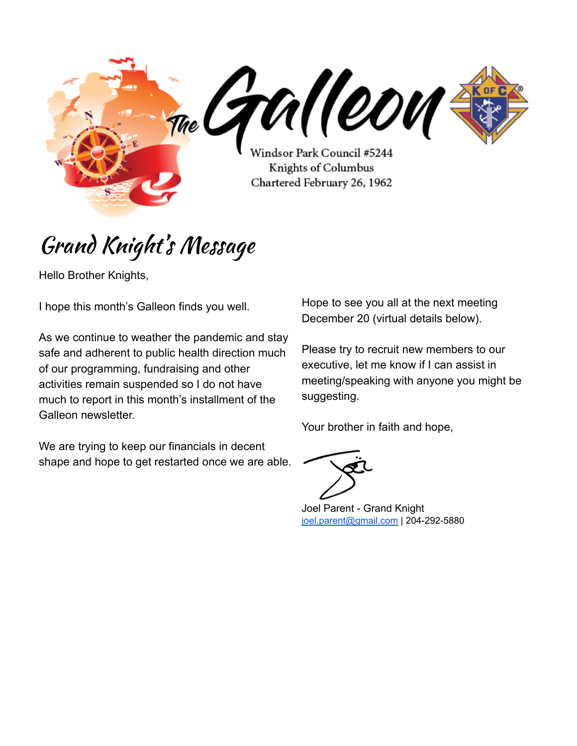

# Grand Knight' s Message

Hello Brother Knights,

I hope this month's Galleon finds you well.

As we continue to weather the pandemic and stay safe and adherent to public health direction much of our programming, fundraising and other activities remain suspended so I do not have much to report in this month's installment of the Galleon newsletter.

We are trying to keep our financials in decent shape and hope to get restarted once we are able. Hope to see you all at the next meeting December 20 (virtual details below).

Please try to recruit new members to our executive, let me know if I can assist in meeting/speaking with anyone you might be suggesting.

Your brother in faith and hope,



Joel Parent - Grand Knight [joel.parent@gmail.com](mailto:joel.parent@gmail.com) | 204-292-5880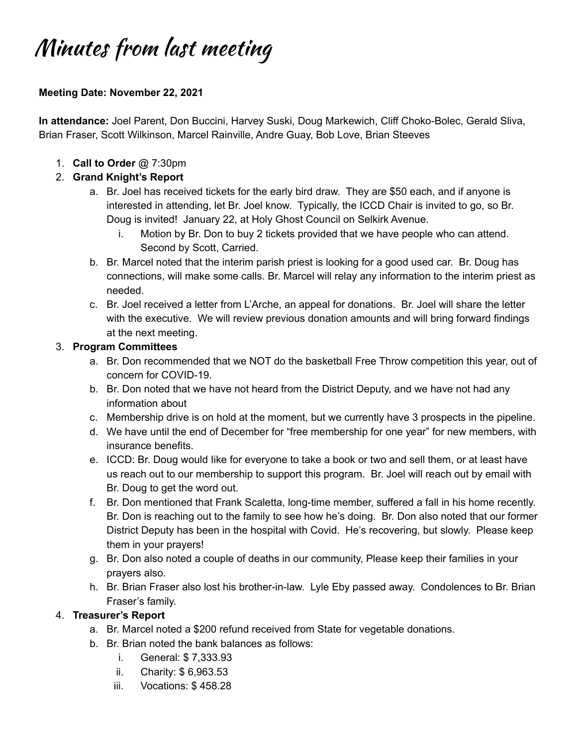# Minutes from last meeting

#### **Meeting Date: November 22, 2021**

**In attendance:** Joel Parent, Don Buccini, Harvey Suski, Doug Markewich, Cliff Choko-Bolec, Gerald Sliva, Brian Fraser, Scott Wilkinson, Marcel Rainville, Andre Guay, Bob Love, Brian Steeves

1. **Call to Order** *@* 7:30pm

### 2. **Grand Knight's Report**

- a. Br. Joel has received tickets for the early bird draw. They are \$50 each, and if anyone is interested in attending, let Br. Joel know. Typically, the ICCD Chair is invited to go, so Br. Doug is invited! January 22, at Holy Ghost Council on Selkirk Avenue.
	- i. Motion by Br. Don to buy 2 tickets provided that we have people who can attend. Second by Scott, Carried.
- b. Br. Marcel noted that the interim parish priest is looking for a good used car. Br. Doug has connections, will make some calls. Br. Marcel will relay any information to the interim priest as needed.
- c. Br. Joel received a letter from L'Arche, an appeal for donations. Br. Joel will share the letter with the executive. We will review previous donation amounts and will bring forward findings at the next meeting.

#### 3. **Program Committees**

- a. Br. Don recommended that we NOT do the basketball Free Throw competition this year, out of concern for COVID-19.
- b. Br. Don noted that we have not heard from the District Deputy, and we have not had any information about
- c. Membership drive is on hold at the moment, but we currently have 3 prospects in the pipeline.
- d. We have until the end of December for "free membership for one year" for new members, with insurance benefits.
- e. ICCD: Br. Doug would Iike for everyone to take a book or two and sell them, or at least have us reach out to our membership to support this program. Br. Joel will reach out by email with Br. Doug to get the word out.
- f. Br. Don mentioned that Frank Scaletta, long-time member, suffered a fall in his home recently. Br. Don is reaching out to the family to see how he's doing. Br. Don also noted that our former District Deputy has been in the hospital with Covid. He's recovering, but slowly. Please keep them in your prayers!
- g. Br. Don also noted a couple of deaths in our community, Please keep their families in your prayers also.
- h. Br. Brian Fraser also lost his brother-in-law. Lyle Eby passed away. Condolences to Br. Brian Fraser's family.

### 4. **Treasurer's Report**

- a. Br. Marcel noted a \$200 refund received from State for vegetable donations.
- b. Br. Brian noted the bank balances as follows:
	- i. General: \$ 7,333.93
	- ii. Charity: \$ 6,963.53
	- iii. Vocations: \$ 458.28